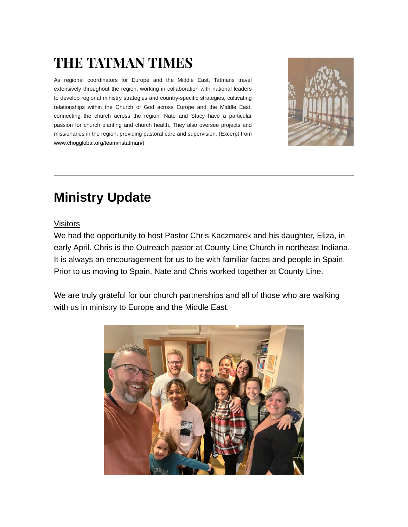# **THE TATMAN TIMES**

As regional coordinators for Europe and the Middle East, Tatmans travel extensively throughout the region, working in collaboration with national leaders to develop regional ministry strategies and country-specific strategies, cultivating relationships within the Church of God across Europe and the Middle East, connecting the church across the region. Nate and Stacy have a particular passion for church planting and church health. They also oversee projects and missionaries in the region, providing pastoral care and supervision. (Excerpt from [www.chogglobal.org/team/nstatman/\)](https://us20.mailchimp.com/mctx/clicks?url=https%3A%2F%2Fwww.chogglobal.org%2Fteam%2Fnstatman%2F&h=9ef51dd3eae8a97006b330b5019ecef114d9e01b2f6b5c627d0c244db6b5589b&v=1&xid=182a83ba99&uid=111035674&pool=&subject=)



# **Ministry Update**

#### Visitors

We had the opportunity to host Pastor Chris Kaczmarek and his daughter, Eliza, in early April. Chris is the Outreach pastor at County Line Church in northeast Indiana. It is always an encouragement for us to be with familiar faces and people in Spain. Prior to us moving to Spain, Nate and Chris worked together at County Line.

We are truly grateful for our church partnerships and all of those who are walking with us in ministry to Europe and the Middle East.

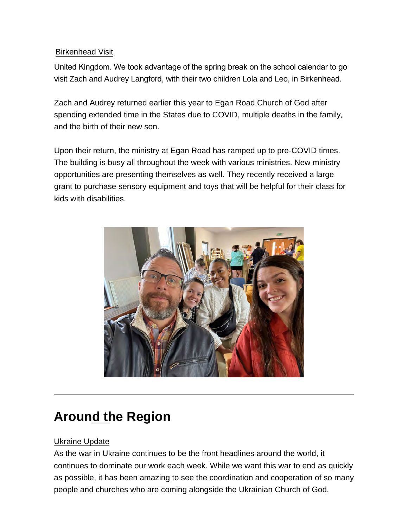#### Birkenhead Visit

United Kingdom. We took advantage of the spring break on the school calendar to go visit Zach and Audrey Langford, with their two children Lola and Leo, in Birkenhead.

Zach and Audrey returned earlier this year to Egan Road Church of God after spending extended time in the States due to COVID, multiple deaths in the family, and the birth of their new son.

Upon their return, the ministry at Egan Road has ramped up to pre-COVID times. The building is busy all throughout the week with various ministries. New ministry opportunities are presenting themselves as well. They recently received a large grant to purchase sensory equipment and toys that will be helpful for their class for kids with disabilities.



# **Around the Region**

### Ukraine Update

As the war in Ukraine continues to be the front headlines around the world, it continues to dominate our work each week. While we want this war to end as quickly as possible, it has been amazing to see the coordination and cooperation of so many people and churches who are coming alongside the Ukrainian Church of God.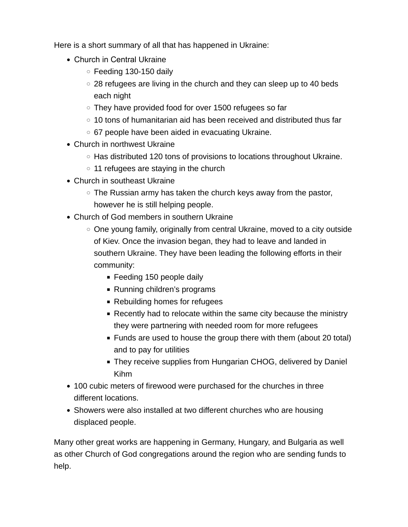Here is a short summary of all that has happened in Ukraine:

- Church in Central Ukraine
	- Feeding 130-150 daily
	- 28 refugees are living in the church and they can sleep up to 40 beds each night
	- They have provided food for over 1500 refugees so far
	- 10 tons of humanitarian aid has been received and distributed thus far
	- 67 people have been aided in evacuating Ukraine.
- Church in northwest Ukraine
	- Has distributed 120 tons of provisions to locations throughout Ukraine.
	- 11 refugees are staying in the church
- Church in southeast Ukraine
	- The Russian army has taken the church keys away from the pastor, however he is still helping people.
- Church of God members in southern Ukraine
	- One young family, originally from central Ukraine, moved to a city outside of Kiev. Once the invasion began, they had to leave and landed in southern Ukraine. They have been leading the following efforts in their community:
		- Feeding 150 people daily
		- Running children's programs
		- Rebuilding homes for refugees
		- Recently had to relocate within the same city because the ministry they were partnering with needed room for more refugees
		- Funds are used to house the group there with them (about 20 total) and to pay for utilities
		- **They receive supplies from Hungarian CHOG, delivered by Daniel** Kihm
- 100 cubic meters of firewood were purchased for the churches in three different locations.
- Showers were also installed at two different churches who are housing displaced people.

Many other great works are happening in Germany, Hungary, and Bulgaria as well as other Church of God congregations around the region who are sending funds to help.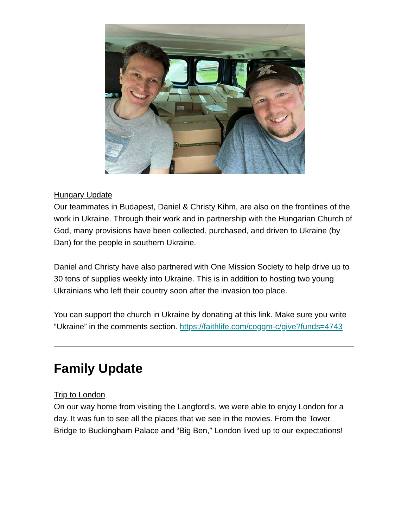

### Hungary Update

Our teammates in Budapest, Daniel & Christy Kihm, are also on the frontlines of the work in Ukraine. Through their work and in partnership with the Hungarian Church of God, many provisions have been collected, purchased, and driven to Ukraine (by Dan) for the people in southern Ukraine.

Daniel and Christy have also partnered with One Mission Society to help drive up to 30 tons of supplies weekly into Ukraine. This is in addition to hosting two young Ukrainians who left their country soon after the invasion too place.

You can support the church in Ukraine by donating at this link. Make sure you write "Ukraine" in the comments section.<https://faithlife.com/coggm-c/give?funds=4743>

## **Family Update**

### Trip to London

On our way home from visiting the Langford's, we were able to enjoy London for a day. It was fun to see all the places that we see in the movies. From the Tower Bridge to Buckingham Palace and "Big Ben," London lived up to our expectations!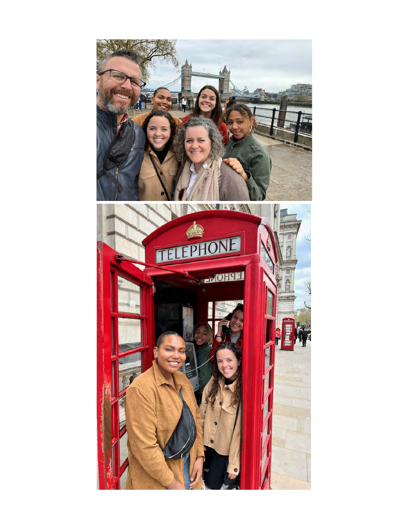